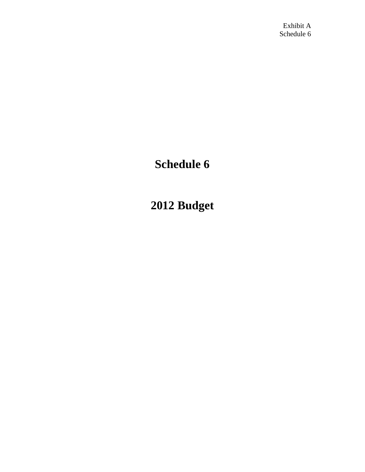# **Schedule 6**

# **2012 Budget**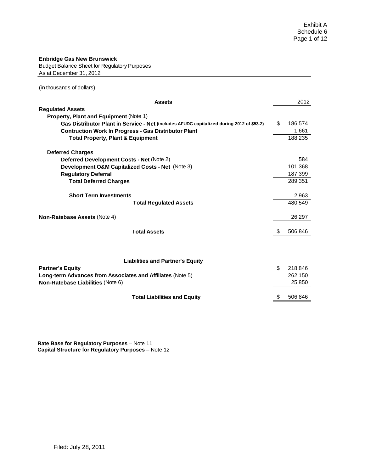#### **Enbridge Gas New Brunswick**

Budget Balance Sheet for Regulatory Purposes As at December 31, 2012

(in thousands of dollars)

| <b>Assets</b>                                                                                   |     | 2012              |
|-------------------------------------------------------------------------------------------------|-----|-------------------|
| <b>Regulated Assets</b>                                                                         |     |                   |
| <b>Property, Plant and Equipment (Note 1)</b>                                                   |     |                   |
| Gas Distributor Plant in Service - Net (includes AFUDC capitalized during 2012 of \$53.2)       | \$  | 186,574           |
| <b>Contruction Work In Progress - Gas Distributor Plant</b>                                     |     | 1,661             |
| <b>Total Property, Plant &amp; Equipment</b>                                                    |     | 188,235           |
| <b>Deferred Charges</b>                                                                         |     |                   |
| Deferred Development Costs - Net (Note 2)                                                       |     | 584               |
| Development O&M Capitalized Costs - Net (Note 3)                                                |     | 101,368           |
| <b>Regulatory Deferral</b>                                                                      |     | 187,399           |
| <b>Total Deferred Charges</b>                                                                   |     | 289,351           |
| <b>Short Term Investments</b>                                                                   |     | 2,963             |
| <b>Total Regulated Assets</b>                                                                   |     | 480.549           |
| Non-Ratebase Assets (Note 4)                                                                    |     | 26,297            |
| <b>Total Assets</b>                                                                             | \$. | 506,846           |
| <b>Liabilities and Partner's Equity</b><br><b>Partner's Equity</b>                              | \$  | 218,846           |
| Long-term Advances from Associates and Affiliates (Note 5)<br>Non-Ratebase Liabilities (Note 6) |     | 262,150<br>25,850 |
| <b>Total Liabilities and Equity</b>                                                             | S   | 506,846           |

**Rate Base for Regulatory Purposes** – Note 11 **Capital Structure for Regulatory Purposes** – Note 12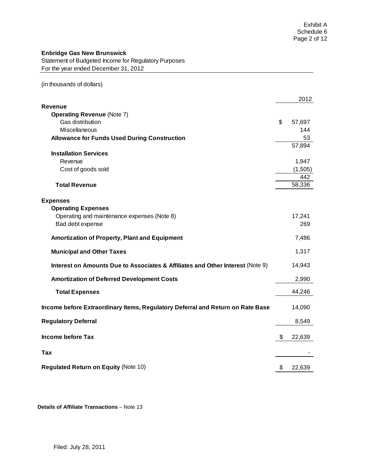Statement of Budgeted Income for Regulatory Purposes For the year ended December 31, 2012

(in thousands of dollars)

|                                                                                | 2012         |
|--------------------------------------------------------------------------------|--------------|
| Revenue                                                                        |              |
| <b>Operating Revenue (Note 7)</b><br>Gas distribution                          | \$<br>57,697 |
| <b>Miscellaneous</b>                                                           | 144          |
| <b>Allowance for Funds Used During Construction</b>                            | 53           |
|                                                                                | 57,894       |
| <b>Installation Services</b>                                                   |              |
| Revenue                                                                        | 1,947        |
| Cost of goods sold                                                             | (1,505)      |
|                                                                                | 442          |
| <b>Total Revenue</b>                                                           | 58,336       |
|                                                                                |              |
| <b>Expenses</b>                                                                |              |
| <b>Operating Expenses</b>                                                      |              |
| Operating and maintenance expenses (Note 8)                                    | 17,241       |
| Bad debt expense                                                               | 269          |
| Amortization of Property, Plant and Equipment                                  | 7,486        |
|                                                                                |              |
| <b>Municipal and Other Taxes</b>                                               | 1,317        |
| Interest on Amounts Due to Associates & Affiliates and Other Interest (Note 9) | 14,943       |
| <b>Amortization of Deferred Development Costs</b>                              | 2,990        |
| <b>Total Expenses</b>                                                          | 44,246       |
|                                                                                |              |
| Income before Extraordinary Items, Regulatory Deferral and Return on Rate Base | 14,090       |
| <b>Regulatory Deferral</b>                                                     | 8,549        |
| <b>Income before Tax</b>                                                       | \$<br>22,639 |
|                                                                                |              |
| Tax                                                                            |              |
|                                                                                |              |
| <b>Regulated Return on Equity (Note 10)</b>                                    | \$<br>22,639 |

**Details of Affiliate Transactions** – Note 13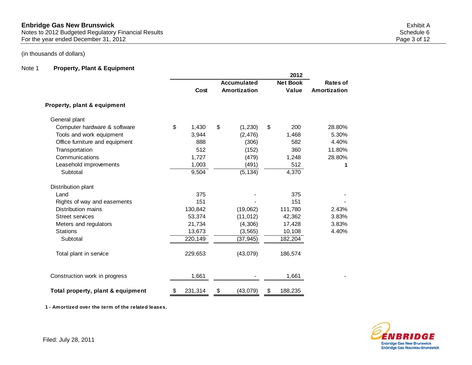# Note 1 **Property, Plant & Equipment**

|                                   |               |                | 2012            |              |
|-----------------------------------|---------------|----------------|-----------------|--------------|
|                                   |               | Accumulated    | <b>Net Book</b> | Rates of     |
|                                   | Cost          | Amortization   | Value           | Amortization |
| Property, plant & equipment       |               |                |                 |              |
| General plant                     |               |                |                 |              |
| Computer hardware & software      | \$<br>1,430   | \$<br>(1,230)  | \$<br>200       | 28.80%       |
| Tools and work equipment          | 3,944         | (2, 476)       | 1,468           | 5.30%        |
| Office furniture and equipment    | 888           | (306)          | 582             | 4.40%        |
| Transportation                    | 512           | (152)          | 360             | 11.80%       |
| Communications                    | 1,727         | (479)          | 1,248           | 28.80%       |
| Leasehold improvements            | 1,003         | (491)          | 512             | 1            |
| Subtotal                          | 9,504         | (5, 134)       | 4,370           |              |
| Distribution plant                |               |                |                 |              |
| Land                              | 375           |                | 375             |              |
| Rights of way and easements       | 151           |                | 151             |              |
| <b>Distribution mains</b>         | 130,842       | (19,062)       | 111,780         | 2.43%        |
| <b>Street services</b>            | 53,374        | (11, 012)      | 42,362          | 3.83%        |
| Meters and regulators             | 21,734        | (4,306)        | 17,428          | 3.83%        |
| <b>Stations</b>                   | 13,673        | (3, 565)       | 10,108          | 4.40%        |
| Subtotal                          | 220,149       | (37, 945)      | 182,204         |              |
| Total plant in service            | 229,653       | (43,079)       | 186,574         |              |
| Construction work in progress     | 1,661         |                | 1,661           |              |
| Total property, plant & equipment | \$<br>231,314 | \$<br>(43,079) | \$<br>188,235   |              |

**1 - Amortized over the term of the related leases.**

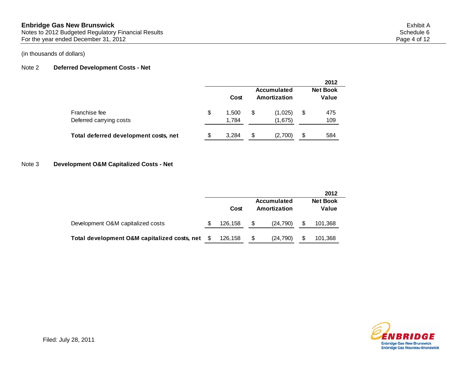## Note 2 **Deferred Development Costs - Net**

|                                          |    |                |                             | 2012                     |
|------------------------------------------|----|----------------|-----------------------------|--------------------------|
|                                          |    | Cost           | Accumulated<br>Amortization | <b>Net Book</b><br>Value |
| Franchise fee<br>Deferred carrying costs | \$ | 1.500<br>1.784 | \$<br>(1,025)<br>(1,675)    | \$<br>475<br>109         |
| Total deferred development costs, net    | S  | 3.284          | \$<br>(2,700)               | \$<br>584                |

#### Note 3 **Development O&M Capitalized Costs - Net**

|                                              |   |         |    |                             | 2012                     |
|----------------------------------------------|---|---------|----|-----------------------------|--------------------------|
|                                              |   | Cost    |    | Accumulated<br>Amortization | <b>Net Book</b><br>Value |
| Development O&M capitalized costs            | S | 126,158 | \$ | (24, 790)                   | 101,368                  |
| Total development O&M capitalized costs, net |   | 126.158 | S  | (24, 790)                   | 101,368                  |

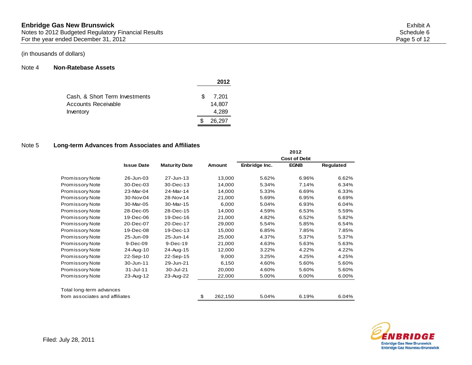#### Note 4 **Non-Ratebase Assets**

|                                |    | 2012   |
|--------------------------------|----|--------|
|                                |    |        |
| Cash, & Short Term Investments | S. | 7.201  |
| Accounts Receivable            |    | 14,807 |
| Inventory                      |    | 4,289  |
|                                |    | 26,297 |

#### Note 5 **Long-term Advances from Associates and Affiliates**

|                                |                   |                      |               |               | 2012                |           |
|--------------------------------|-------------------|----------------------|---------------|---------------|---------------------|-----------|
|                                |                   |                      |               |               | <b>Cost of Debt</b> |           |
|                                | <b>Issue Date</b> | <b>Maturity Date</b> | Amount        | Enbridge Inc. | <b>EGNB</b>         | Regulated |
| <b>Promissory Note</b>         | 26-Jun-03         | 27-Jun-13            | 13,000        | 5.62%         | 6.96%               | 6.62%     |
| <b>Promissory Note</b>         | 30-Dec-03         | 30-Dec-13            | 14,000        | 5.34%         | 7.14%               | 6.34%     |
| Promissory Note                | 23-Mar-04         | 24-Mar-14            | 14,000        | 5.33%         | 6.69%               | 6.33%     |
| Promissory Note                | 30-Nov-04         | 28-Nov-14            | 21,000        | 5.69%         | 6.95%               | 6.69%     |
| <b>Promissory Note</b>         | 30-Mar-05         | 30-Mar-15            | 6,000         | 5.04%         | 6.93%               | 6.04%     |
| Promissory Note                | 28-Dec-05         | 28-Dec-15            | 14,000        | 4.59%         | 6.53%               | 5.59%     |
| Promissory Note                | 19-Dec-06         | 19-Dec-16            | 21,000        | 4.82%         | 6.52%               | 5.82%     |
| <b>Promissory Note</b>         | 20-Dec-07         | 20-Dec-17            | 29,000        | 5.54%         | 5.85%               | 6.54%     |
| <b>Promissory Note</b>         | 19-Dec-08         | 19-Dec-13            | 15,000        | 6.85%         | 7.85%               | 7.85%     |
| <b>Promissory Note</b>         | 25-Jun-09         | 25-Jun-14            | 25,000        | 4.37%         | 5.37%               | 5.37%     |
| Promissory Note                | $9-Dec-09$        | 9-Dec-19             | 21,000        | 4.63%         | 5.63%               | 5.63%     |
| Promissory Note                | 24-Aug-10         | 24-Aug-15            | 12,000        | 3.22%         | 4.22%               | 4.22%     |
| <b>Promissory Note</b>         | 22-Sep-10         | 22-Sep-15            | 9,000         | 3.25%         | 4.25%               | 4.25%     |
| Promissory Note                | 30-Jun-11         | 29-Jun-21            | 6,150         | 4.60%         | 5.60%               | 5.60%     |
| Promissory Note                | $31 -$ Jul-11     | 30-Jul-21            | 20,000        | 4.60%         | 5.60%               | 5.60%     |
| <b>Promissory Note</b>         | 23-Aug-12         | 23-Aug-22            | 22,000        | 5.00%         | 6.00%               | 6.00%     |
| Total long-term advances       |                   |                      |               |               |                     |           |
| from associates and affiliates |                   |                      | \$<br>262,150 | 5.04%         | 6.19%               | 6.04%     |

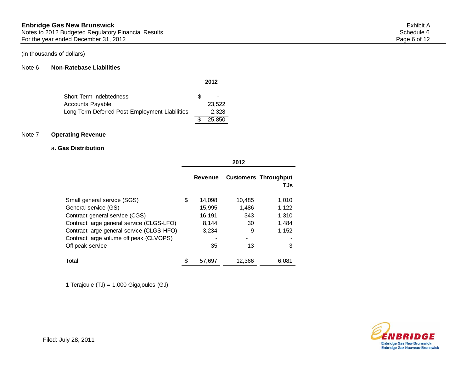#### Note 6 **Non-Ratebase Liabilities**

| Short Term Indebtedness                        | S. | $\overline{\phantom{a}}$ |
|------------------------------------------------|----|--------------------------|
| <b>Accounts Payable</b>                        |    | 23.522                   |
| Long Term Deferred Post Employment Liabilities |    | 2.328                    |
|                                                |    | 25,850                   |

# Note 7 **Operating Revenue**

#### a**. Gas Distribution**

|                                           |   | Revenue |        | <b>Customers Throughput</b><br>TJs |
|-------------------------------------------|---|---------|--------|------------------------------------|
| Small general service (SGS)               | S | 14,098  | 10.485 | 1,010                              |
| General service (GS)                      |   | 15,995  | 1,486  | 1,122                              |
| Contract general service (CGS)            |   | 16,191  | 343    | 1,310                              |
| Contract large general service (CLGS-LFO) |   | 8.144   | 30     | 1,484                              |
| Contract large general service (CLGS-HFO) |   | 3.234   | 9      | 1,152                              |
| Contract large volume off peak (CLVOPS)   |   |         |        |                                    |
| Off peak service                          |   | 35      | 13     | 3                                  |
| Total                                     |   | 57,697  | 12.366 | 6,081                              |

1 Terajoule (TJ) = 1,000 Gigajoules (GJ)



**2012**

**2012**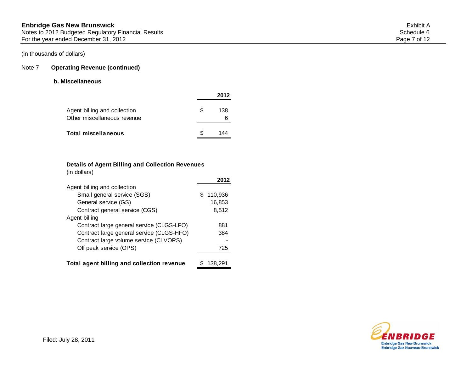# Note 7 **Operating Revenue (continued)**

#### **b. Miscellaneous**

|                                                             |    | 2012 |
|-------------------------------------------------------------|----|------|
| Agent billing and collection<br>Other miscellaneous revenue | S. | 138  |
| Total miscellaneous                                         |    | 144  |

#### **Details of Agent Billing and Collection Revenues**

|  | (in dollars) |  |
|--|--------------|--|
|  |              |  |

|                                            | 2012         |
|--------------------------------------------|--------------|
| Agent billing and collection               |              |
| Small general service (SGS)                | 110,936<br>S |
| General service (GS)                       | 16,853       |
| Contract general service (CGS)             | 8,512        |
| Agent billing                              |              |
| Contract large general service (CLGS-LFO)  | 881          |
| Contract large general service (CLGS-HFO)  | 384          |
| Contract large volume service (CLVOPS)     |              |
| Off peak service (OPS)                     | 725          |
| Total agent billing and collection revenue | 138.291      |

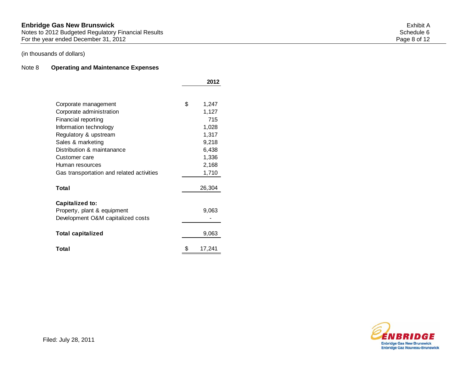#### **Enbridge Gas New Brunswick** Exhibit A Notes to 2012 Budgeted Regulatory Financial Results Schedule 6 and Schedule 6 and Schedule 6 and Schedule 6 and Schedule 6 and Schedule 6 and Schedule 6 and Schedule 6 and Schedule 6 and Schedule 6 and Schedule 6 and Sched For the year ended December 31, 2012 **Page 8 of 12**

# (in thousands of dollars)

## Note 8 **Operating and Maintenance Expenses**

|                                           |    | 2012   |
|-------------------------------------------|----|--------|
|                                           |    |        |
| Corporate management                      | \$ | 1,247  |
| Corporate administration                  |    | 1,127  |
| Financial reporting                       |    | 715    |
| Information technology                    |    | 1,028  |
| Regulatory & upstream                     |    | 1,317  |
| Sales & marketing                         |    | 9,218  |
| Distribution & maintanance                |    | 6,438  |
| Customer care                             |    | 1,336  |
| Human resources                           |    | 2,168  |
| Gas transportation and related activities |    | 1,710  |
| Total                                     |    | 26,304 |
| Capitalized to:                           |    |        |
| Property, plant & equipment               |    | 9,063  |
| Development O&M capitalized costs         |    |        |
| <b>Total capitalized</b>                  |    | 9,063  |
| Total                                     | S  | 17,241 |

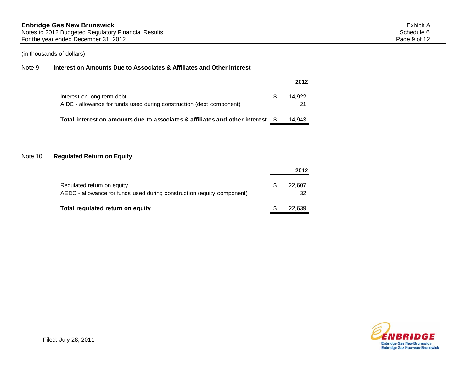#### Note 9 **Interest on Amounts Due to Associates & Affiliates and Other Interest**

|                                                                                                    |     | 2012         |
|----------------------------------------------------------------------------------------------------|-----|--------------|
| Interest on long-term debt<br>AIDC - allowance for funds used during construction (debt component) | \$. | 14.922<br>21 |
| Total interest on amounts due to associates & affiliates and other interest \$                     |     | 14.943       |

## Note 10 **Regulated Return on Equity**

|                                                                                                      |   | 2012         |
|------------------------------------------------------------------------------------------------------|---|--------------|
| Regulated return on equity<br>AEDC - allowance for funds used during construction (equity component) | S | 22,607<br>32 |
| Total regulated return on equity                                                                     |   | 22.639       |

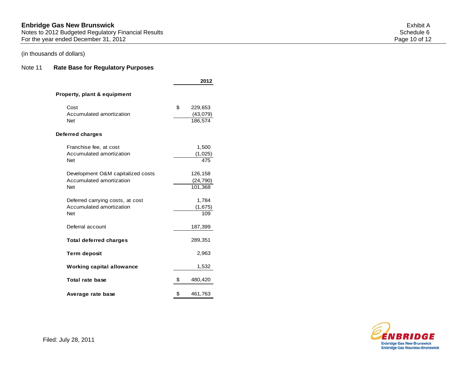## Note 11 **Rate Base for Regulatory Purposes**

|                                                                             | 2012                                 |
|-----------------------------------------------------------------------------|--------------------------------------|
| <b>Property, plant &amp; equipment</b>                                      |                                      |
| Cost<br>Accumulated amortization<br><b>Net</b>                              | \$<br>229,653<br>(43,079)<br>186.574 |
| Deferred charges                                                            |                                      |
| Franchise fee, at cost<br>Accumulated amortization<br><b>Net</b>            | 1,500<br>(1,025)<br>475              |
| Development O&M capitalized costs<br>Accumulated amortization<br><b>Net</b> | 126,158<br>(24, 790)<br>101,368      |
| Deferred carrying costs, at cost<br>Accumulated amortization<br><b>Net</b>  | 1,784<br>(1,675)<br>109              |
| Deferral account                                                            | 187,399                              |
| <b>Total deferred charges</b>                                               | 289,351                              |
| <b>Term deposit</b>                                                         | 2,963                                |
| <b>Working capital allowance</b>                                            | 1,532                                |
| Total rate base                                                             | \$<br>480,420                        |
| Average rate base                                                           | \$<br>461,763                        |



Filed: July 28, 2011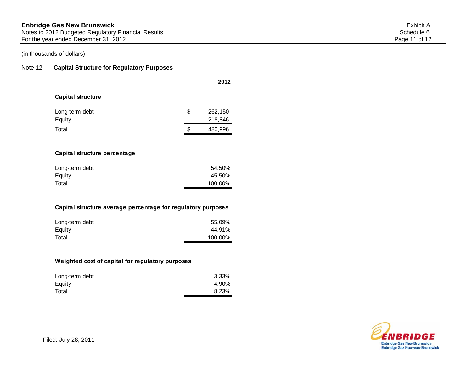# **Enbridge Gas New Brunswick** Exhibit A

Notes to 2012 Budgeted Regulatory Financial Results Schedule 6 and Schedule 6 and Schedule 6 and Schedule 6 and Schedule 6 and Schedule 6 and Schedule 6 and Schedule 6 and Schedule 6 and Schedule 6 and Schedule 6 and Sched For the year ended December 31, 2012 **Page 11** of 12

# (in thousands of dollars)

# Note 12 **Capital Structure for Regulatory Purposes**

|                          |    | 2012    |
|--------------------------|----|---------|
| <b>Capital structure</b> |    |         |
| Long-term debt           | \$ | 262,150 |
| Equity                   |    | 218,846 |
| Total                    | S  | 480,996 |
|                          |    |         |

## **Capital structure percentage**

| Long-term debt | 54.50%  |
|----------------|---------|
| Equity         | 45.50%  |
| Total          | 100.00% |
|                |         |

#### **Capital structure average percentage for regulatory purposes**

| Long-term debt | 55.09%  |
|----------------|---------|
| Equity         | 44.91%  |
| Total          | 100.00% |

# **Weighted cost of capital for regulatory purposes**

| Long-term debt | 3.33% |
|----------------|-------|
| Equity         | 4.90% |
| Total          | 8.23% |